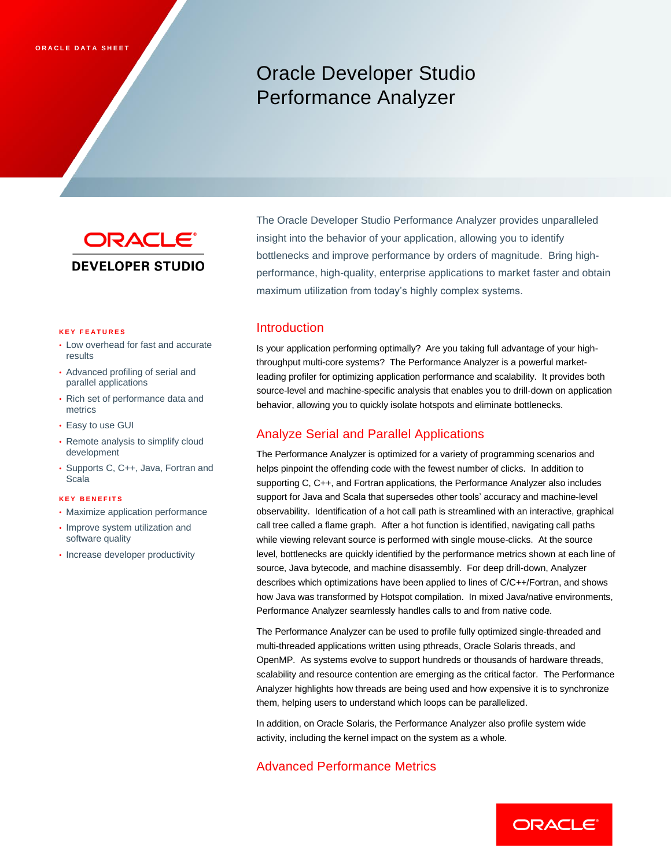# Oracle Developer Studio Performance Analyzer



The Oracle Developer Studio Performance Analyzer provides unparalleled insight into the behavior of your application, allowing you to identify bottlenecks and improve performance by orders of magnitude. Bring highperformance, high-quality, enterprise applications to market faster and obtain maximum utilization from today's highly complex systems.

#### **K E Y F E A T U R E S**

- Low overhead for fast and accurate results
- Advanced profiling of serial and parallel applications
- Rich set of performance data and metrics
- Easy to use GUI
- Remote analysis to simplify cloud development
- Supports C, C++, Java, Fortran and Scala

### **K E Y B E N E F I T S**

- Maximize application performance
- Improve system utilization and software quality
- Increase developer productivity

# **Introduction**

Is your application performing optimally? Are you taking full advantage of your highthroughput multi-core systems? The Performance Analyzer is a powerful marketleading profiler for optimizing application performance and scalability. It provides both source-level and machine-specific analysis that enables you to drill-down on application behavior, allowing you to quickly isolate hotspots and eliminate bottlenecks.

## Analyze Serial and Parallel Applications

The Performance Analyzer is optimized for a variety of programming scenarios and helps pinpoint the offending code with the fewest number of clicks. In addition to supporting C, C++, and Fortran applications, the Performance Analyzer also includes support for Java and Scala that supersedes other tools' accuracy and machine-level observability. Identification of a hot call path is streamlined with an interactive, graphical call tree called a flame graph. After a hot function is identified, navigating call paths while viewing relevant source is performed with single mouse-clicks. At the source level, bottlenecks are quickly identified by the performance metrics shown at each line of source, Java bytecode, and machine disassembly. For deep drill-down, Analyzer describes which optimizations have been applied to lines of C/C++/Fortran, and shows how Java was transformed by Hotspot compilation. In mixed Java/native environments, Performance Analyzer seamlessly handles calls to and from native code.

The Performance Analyzer can be used to profile fully optimized single-threaded and multi-threaded applications written using pthreads, Oracle Solaris threads, and OpenMP. As systems evolve to support hundreds or thousands of hardware threads, scalability and resource contention are emerging as the critical factor. The Performance Analyzer highlights how threads are being used and how expensive it is to synchronize them, helping users to understand which loops can be parallelized.

In addition, on Oracle Solaris, the Performance Analyzer also profile system wide activity, including the kernel impact on the system as a whole.

# Advanced Performance Metrics

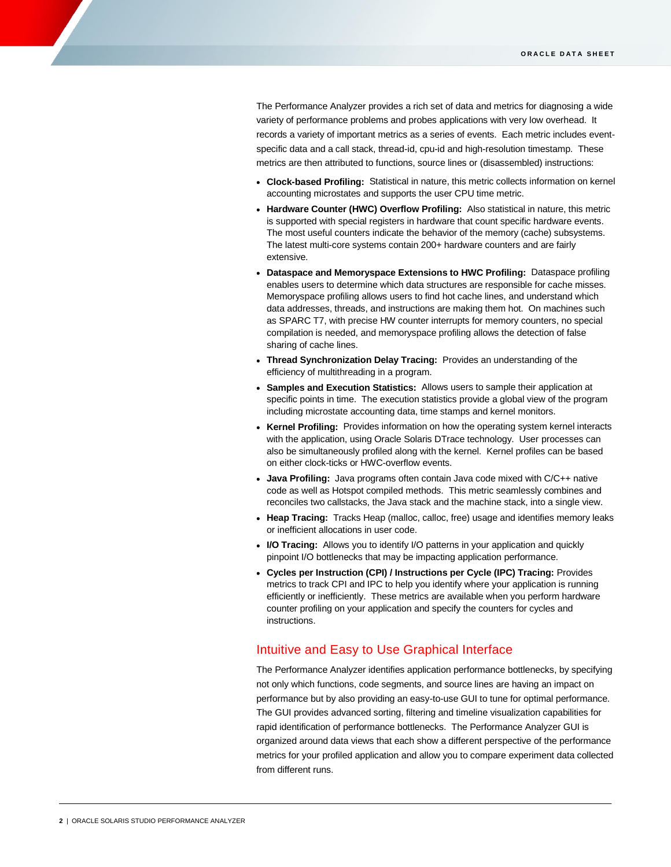The Performance Analyzer provides a rich set of data and metrics for diagnosing a wide variety of performance problems and probes applications with very low overhead. It records a variety of important metrics as a series of events. Each metric includes eventspecific data and a call stack, thread-id, cpu-id and high-resolution timestamp. These metrics are then attributed to functions, source lines or (disassembled) instructions:

- **Clock-based Profiling:** Statistical in nature, this metric collects information on kernel accounting microstates and supports the user CPU time metric.
- **Hardware Counter (HWC) Overflow Profiling:** Also statistical in nature, this metric is supported with special registers in hardware that count specific hardware events. The most useful counters indicate the behavior of the memory (cache) subsystems. The latest multi-core systems contain 200+ hardware counters and are fairly extensive.
- **Dataspace and Memoryspace Extensions to HWC Profiling:** Dataspace profiling enables users to determine which data structures are responsible for cache misses. Memoryspace profiling allows users to find hot cache lines, and understand which data addresses, threads, and instructions are making them hot. On machines such as SPARC T7, with precise HW counter interrupts for memory counters, no special compilation is needed, and memoryspace profiling allows the detection of false sharing of cache lines.
- **Thread Synchronization Delay Tracing:** Provides an understanding of the efficiency of multithreading in a program.
- **Samples and Execution Statistics:** Allows users to sample their application at specific points in time. The execution statistics provide a global view of the program including microstate accounting data, time stamps and kernel monitors.
- **Kernel Profiling:** Provides information on how the operating system kernel interacts with the application, using Oracle Solaris DTrace technology. User processes can also be simultaneously profiled along with the kernel. Kernel profiles can be based on either clock-ticks or HWC-overflow events.
- **Java Profiling:** Java programs often contain Java code mixed with C/C++ native code as well as Hotspot compiled methods. This metric seamlessly combines and reconciles two callstacks, the Java stack and the machine stack, into a single view.
- **Heap Tracing:** Tracks Heap (malloc, calloc, free) usage and identifies memory leaks or inefficient allocations in user code.
- **I/O Tracing:** Allows you to identify I/O patterns in your application and quickly pinpoint I/O bottlenecks that may be impacting application performance.
- **Cycles per Instruction (CPI) / Instructions per Cycle (IPC) Tracing:** Provides metrics to track CPI and IPC to help you identify where your application is running efficiently or inefficiently. These metrics are available when you perform hardware counter profiling on your application and specify the counters for cycles and instructions.

# Intuitive and Easy to Use Graphical Interface

The Performance Analyzer identifies application performance bottlenecks, by specifying not only which functions, code segments, and source lines are having an impact on performance but by also providing an easy-to-use GUI to tune for optimal performance. The GUI provides advanced sorting, filtering and timeline visualization capabilities for rapid identification of performance bottlenecks. The Performance Analyzer GUI is organized around data views that each show a different perspective of the performance metrics for your profiled application and allow you to compare experiment data collected from different runs.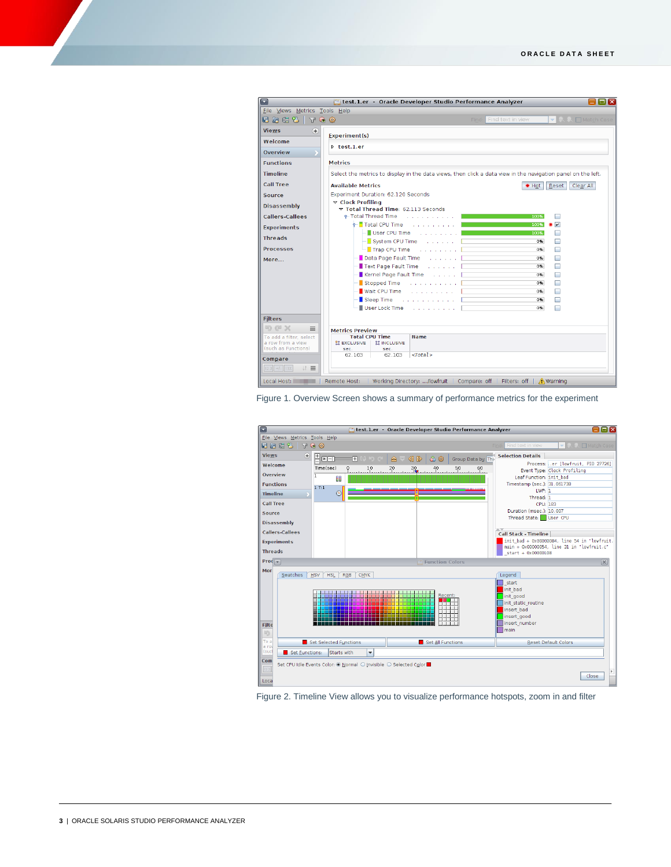| Eile Views Metrics Tools Help                                       |                                                                                                              |                                |                   |                         |
|---------------------------------------------------------------------|--------------------------------------------------------------------------------------------------------------|--------------------------------|-------------------|-------------------------|
| <b>ERC 3 TO 6</b>                                                   |                                                                                                              | Find:                          | Find text in view | ▼ A. A. □ Match Case    |
| <b>Views</b><br>Œ                                                   | Experiment(s)                                                                                                |                                |                   |                         |
| Welcome                                                             |                                                                                                              |                                |                   |                         |
| Overview                                                            | $\triangleright$ test. 1. er                                                                                 |                                |                   |                         |
| <b>Functions</b>                                                    | <b>Metrics</b>                                                                                               |                                |                   |                         |
| <b>Timeline</b>                                                     | Select the metrics to display in the data views, then click a data view in the navigation panel on the left. |                                |                   |                         |
| <b>Call Tree</b>                                                    | <b>Available Metrics</b>                                                                                     |                                | <b>₩ Hot</b>      | Reset<br>Clear All      |
| Source                                                              | Experiment Duration: 62.120 Seconds                                                                          |                                |                   |                         |
| Disassembly                                                         | ▽ Clock Profiling<br>Total Thread Time: 62.113 Seconds                                                       |                                |                   |                         |
| <b>Callers-Callees</b>                                              | 9-Total Thread Time<br>the contract of the contract of                                                       |                                | 100%              |                         |
| <b>Experiments</b>                                                  | o- Total CPU Time<br>and a straight and a straight                                                           |                                | 100%              | $\overline{\mathbf{v}}$ |
|                                                                     | $-\blacksquare$ User CPU Time                                                                                | and the company of the company | 100%              |                         |
| <b>Threads</b>                                                      | For System CPU Time Armore Links and                                                                         |                                | 0%                | п                       |
| <b>Processes</b>                                                    | $\overline{\phantom{a}}$ Trap CPU Time $\phantom{a}$                                                         |                                | 0%                |                         |
| More                                                                | Data Page Fault Time Albert Links                                                                            |                                | 0%                | ۰                       |
|                                                                     | Text Page Fault Time Albert Links                                                                            |                                | 0%                | □                       |
|                                                                     | Kernel Page Fault Time Albert Line                                                                           |                                | 0%                | □                       |
|                                                                     | Stopped Time<br>and the company of the com-                                                                  |                                | 0%                | □                       |
|                                                                     | Wait CPU Time<br>and a sharp and a                                                                           |                                | 0%                | □                       |
|                                                                     | Sleep Time<br>and the company of the company                                                                 |                                | 0%                | □                       |
|                                                                     | User Lock Time                                                                                               | and a straight and a           | 0%                |                         |
| <b>Filters</b>                                                      |                                                                                                              |                                |                   |                         |
| り @ X<br>$\equiv$                                                   | <b>Metrics Preview</b>                                                                                       |                                |                   |                         |
| To add a filter, select<br>a row from a view<br>(such as Functions) | <b>Total CPU Time</b><br><b>Name</b><br><b>21 EXCLUSIVE</b><br><b>II INCLUSIVE</b><br>sec<br>sec.            |                                |                   |                         |
| Compare                                                             | $<$ Total><br>62.103<br>62.103                                                                               |                                |                   |                         |
| $M \equiv$<br>$12.3$ +/- 1.1X                                       |                                                                                                              |                                |                   |                         |





Figure 2. Timeline View allows you to visualize performance hotspots, zoom in and filter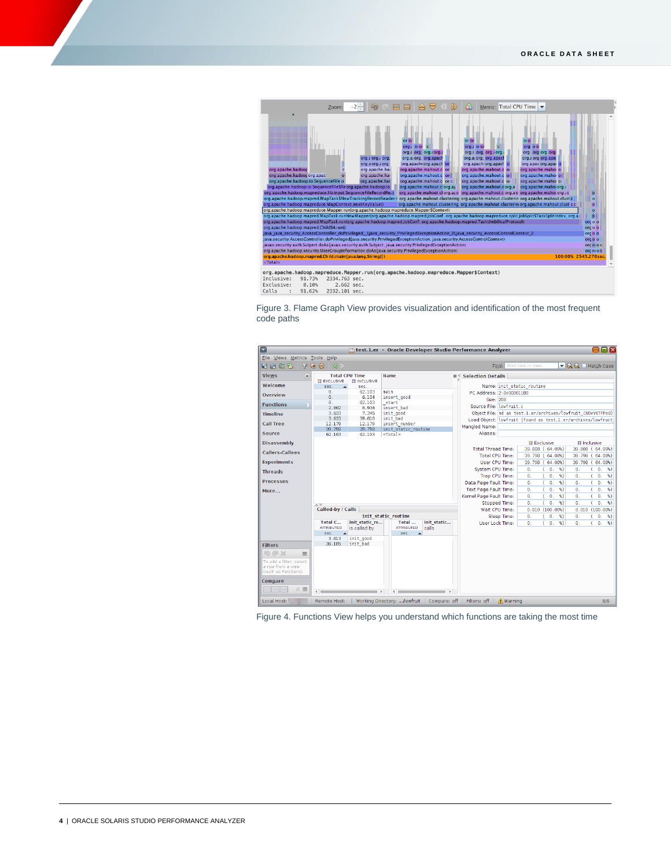

91.62% 2332.101 sec.  $Calls$  :

Figure 3. Flame Graph View provides visualization and identification of the most frequent code paths



Figure 4. Functions View helps you understand which functions are taking the most time